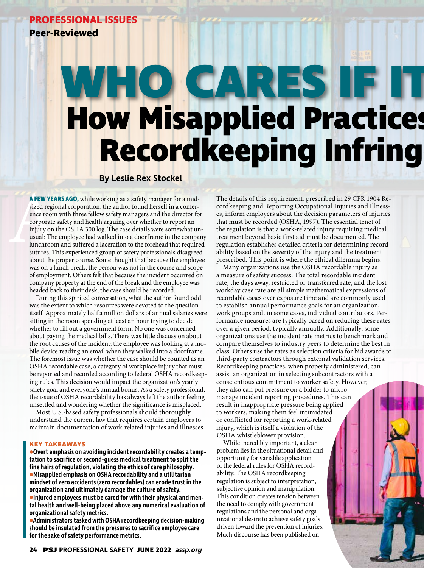# **PROFESSIONAL ISSUES**

**Peer-Reviewed**

# **WHO CARES IF IT How Misapplied Practices Recordkeeping Infring**

# **By Leslie Rex Stockel**

A FEW YEA<br>sized regio<br>ence room<br>corporate s<br>injury on t<br>usual: The<br>lunchroom<br>sutures. The<br>about the r **A FEW YEARS AGO,**while working as a safety manager for a midsized regional corporation, the author found herself in a conference room with three fellow safety managers and the director for corporate safety and health arguing over whether to report an injury on the OSHA 300 log. The case details were somewhat unusual: The employee had walked into a doorframe in the company lunchroom and suffered a laceration to the forehead that required sutures. This experienced group of safety professionals disagreed about the proper course. Some thought that because the employee was on a lunch break, the person was not in the course and scope of employment. Others felt that because the incident occurred on company property at the end of the break and the employee was headed back to their desk, the case should be recorded.

During this spirited conversation, what the author found odd was the extent to which resources were devoted to the question itself. Approximately half a million dollars of annual salaries were sitting in the room spending at least an hour trying to decide whether to fill out a government form. No one was concerned about paying the medical bills. There was little discussion about the root causes of the incident; the employee was looking at a mobile device reading an email when they walked into a doorframe. The foremost issue was whether the case should be counted as an OSHA recordable case, a category of workplace injury that must be reported and recorded according to federal OSHA recordkeeping rules. This decision would impact the organization's yearly safety goal and everyone's annual bonus. As a safety professional, the issue of OSHA recordability has always left the author feeling unsettled and wondering whether the significance is misplaced.

Most U.S.-based safety professionals should thoroughly understand the current law that requires certain employers to maintain documentation of work-related injuries and illnesses.

# **KEY TAKEAWAYS**

**•Overt emphasis on avoiding incident recordability creates a temptation to sacrifice or second-guess medical treatment to split the fine hairs of regulation, violating the ethics of care philosophy. •Misapplied emphasis on OSHA recordability and a utilitarian mindset of zero accidents (zero recordables) can erode trust in the organization and ultimately damage the culture of safety. •Injured employees must be cared for with their physical and mental health and well-being placed above any numerical evaluation of organizational safety metrics.**

**•Administrators tasked with OSHA recordkeeping decision-making should be insulated from the pressures to sacrifice employee care for the sake of safety performance metrics.**

The details of this requirement, prescribed in 29 CFR 1904 Recordkeeping and Reporting Occupational Injuries and Illnesses, inform employers about the decision parameters of injuries that must be recorded (OSHA, 1997). The essential tenet of the regulation is that a work-related injury requiring medical treatment beyond basic first aid must be documented. The regulation establishes detailed criteria for determining recordability based on the severity of the injury and the treatment prescribed. This point is where the ethical dilemma begins.

Many organizations use the OSHA recordable injury as a measure of safety success. The total recordable incident rate, the days away, restricted or transferred rate, and the lost workday case rate are all simple mathematical expressions of recordable cases over exposure time and are commonly used to establish annual performance goals for an organization, work groups and, in some cases, individual contributors. Performance measures are typically based on reducing these rates over a given period, typically annually. Additionally, some organizations use the incident rate metrics to benchmark and compare themselves to industry peers to determine the best in class. Others use the rates as selection criteria for bid awards to third-party contractors through external validation services. Recordkeeping practices, when properly administered, can assist an organization in selecting subcontractors with a conscientious commitment to worker safety. However, they also can put pressure on a bidder to micromanage incident reporting procedures. This can result in inappropriate pressure being applied to workers, making them feel intimidated or conflicted for reporting a work-related injury, which is itself a violation of the OSHA whistleblower provision.

While incredibly important, a clear problem lies in the situational detail and opportunity for variable application of the federal rules for OSHA recordability. The OSHA recordkeeping regulation is subject to interpretation, subjective opinion and manipulation. This condition creates tension between the need to comply with government regulations and the personal and organizational desire to achieve safety goals driven toward the prevention of injuries. Much discourse has been published on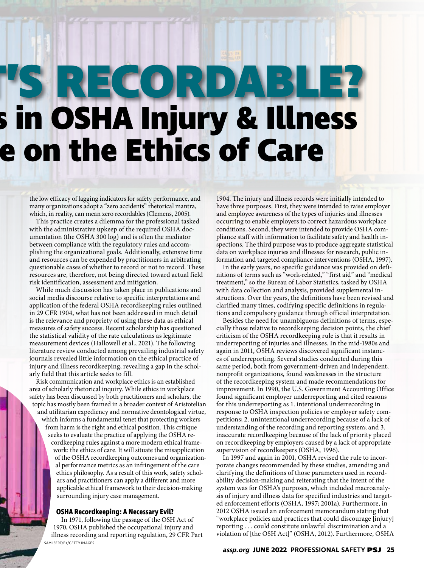# **SRRECORDA How Misapplied Practices in OSHA Injury & Illness e on the Ethics of Care**

the low efficacy of lagging indicators for safety performance, and many organizations adopt a "zero accidents" rhetorical mantra, which, in reality, can mean zero recordables (Clemens, 2005).

This practice creates a dilemma for the professional tasked with the administrative upkeep of the required OSHA documentation (the OSHA 300 log) and is often the mediator between compliance with the regulatory rules and accomplishing the organizational goals. Additionally, extensive time and resources can be expended by practitioners in arbitrating questionable cases of whether to record or not to record. These resources are, therefore, not being directed toward actual field risk identification, assessment and mitigation.

While much discussion has taken place in publications and social media discourse relative to specific interpretations and application of the federal OSHA recordkeeping rules outlined in 29 CFR 1904, what has not been addressed in much detail is the relevance and propriety of using these data as ethical measures of safety success. Recent scholarship has questioned the statistical validity of the rate calculations as legitimate measurement devices (Hallowell et al., 2021). The following literature review conducted among prevailing industrial safety journals revealed little information on the ethical practice of injury and illness recordkeeping, revealing a gap in the scholarly field that this article seeks to fill.

Risk communication and workplace ethics is an established area of scholarly rhetorical inquiry. While ethics in workplace safety has been discussed by both practitioners and scholars, the topic has mostly been framed in a broader context of Aristotelian and utilitarian expediency and normative deontological virtue, which informs a fundamental tenet that protecting workers from harm is the right and ethical position. This critique seeks to evaluate the practice of applying the OSHA recordkeeping rules against a more modern ethical framework: the ethics of care. It will situate the misapplication of the OSHA recordkeeping outcomes and organizational performance metrics as an infringement of the care ethics philosophy. As a result of this work, safety scholars and practitioners can apply a different and more applicable ethical framework to their decision-making surrounding injury case management.

# **OSHA Recordkeeping: A Necessary Evil?**

In 1971, following the passage of the OSH Act of 1970, OSHA published the occupational injury and illness recording and reporting regulation, 29 CFR Part SAMI SERT/E+/GETTY IMAGES

1904. The injury and illness records were initially intended to have three purposes. First, they were intended to raise employer and employee awareness of the types of injuries and illnesses occurring to enable employers to correct hazardous workplace conditions. Second, they were intended to provide OSHA compliance staff with information to facilitate safety and health inspections. The third purpose was to produce aggregate statistical data on workplace injuries and illnesses for research, public information and targeted compliance interventions (OSHA, 1997).

In the early years, no specific guidance was provided on definitions of terms such as "work-related," "first aid" and "medical treatment," so the Bureau of Labor Statistics, tasked by OSHA with data collection and analysis, provided supplemental instructions. Over the years, the definitions have been revised and clarified many times, codifying specific definitions in regulations and compulsory guidance through official interpretation.

Besides the need for unambiguous definitions of terms, especially those relative to recordkeeping decision points, the chief criticism of the OSHA recordkeeping rule is that it results in underreporting of injuries and illnesses. In the mid-1980s and again in 2011, OSHA reviews discovered significant instances of underreporting. Several studies conducted during this same period, both from government-driven and independent, nonprofit organizations, found weaknesses in the structure of the recordkeeping system and made recommendations for improvement. In 1990, the U.S. Government Accounting Office found significant employer underreporting and cited reasons for this underreporting as 1. intentional underrecording in response to OSHA inspection policies or employer safety competitions; 2. unintentional underrecording because of a lack of understanding of the recording and reporting system; and 3. inaccurate recordkeeping because of the lack of priority placed on recordkeeping by employers caused by a lack of appropriate supervision of recordkeepers (OSHA, 1996).

In 1997 and again in 2001, OSHA revised the rule to incorporate changes recommended by these studies, amending and clarifying the definitions of those parameters used in recordability decision-making and reiterating that the intent of the system was for OSHA's purposes, which included macroanalysis of injury and illness data for specified industries and targeted enforcement efforts (OSHA, 1997; 2001a). Furthermore, in 2012 OSHA issued an enforcement memorandum stating that "workplace policies and practices that could discourage [injury] reporting . . . could constitute unlawful discrimination and a violation of [the OSH Act]" (OSHA, 2012). Furthermore, OSHA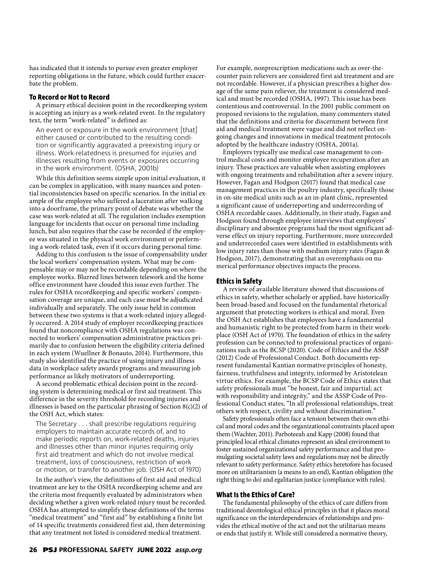has indicated that it intends to pursue even greater employer reporting obligations in the future, which could further exacerbate the problem.

### **To Record or Not to Record**

A primary ethical decision point in the recordkeeping system is accepting an injury as a work-related event. In the regulatory text, the term "work-related" is defined as:

An event or exposure in the work environment [that] either caused or contributed to the resulting condition or significantly aggravated a preexisting injury or illness. Work-relatedness is presumed for injuries and illnesses resulting from events or exposures occurring in the work environment. (OSHA, 2001b)

While this definition seems simple upon initial evaluation, it can be complex in application, with many nuances and potential inconsistencies based on specific scenarios. In the initial example of the employee who suffered a laceration after walking into a doorframe, the primary point of debate was whether the case was work-related at all. The regulation includes exemption language for incidents that occur on personal time including lunch, but also requires that the case be recorded if the employee was situated in the physical work environment or performing a work-related task, even if it occurs during personal time.

Adding to this confusion is the issue of compensability under the local workers' compensation system. What may be compensable may or may not be recordable depending on where the employee works. Blurred lines between telework and the home office environment have clouded this issue even further. The rules for OSHA recordkeeping and specific workers' compensation coverage are unique, and each case must be adjudicated individually and separately. The only issue held in common between these two systems is that a work-related injury allegedly occurred. A 2014 study of employer recordkeeping practices found that noncompliance with OSHA regulations was connected to workers' compensation administrative practices primarily due to confusion between the eligibility criteria defined in each system (Wuellner & Bonauto, 2014). Furthermore, this study also identified the practice of using injury and illness data in workplace safety awards programs and measuring job performance as likely motivators of underreporting.

A second problematic ethical decision point in the recording system is determining medical or first aid treatment. This difference in the severity threshold for recording injuries and illnesses is based on the particular phrasing of Section  $8(c)(2)$  of the OSH Act, which states:

The Secretary . . . shall prescribe regulations requiring employers to maintain accurate records of, and to make periodic reports on, work-related deaths, injuries and illnesses other than minor injuries requiring only first aid treatment and which do not involve medical treatment, loss of consciousness, restriction of work or motion, or transfer to another job. (OSH Act of 1970)

In the author's view, the definitions of first aid and medical treatment are key to the OSHA recordkeeping scheme and are the criteria most frequently evaluated by administrators when deciding whether a given work-related injury must be recorded. OSHA has attempted to simplify these definitions of the terms "medical treatment" and "first aid" by establishing a finite list of 14 specific treatments considered first aid, then determining that any treatment not listed is considered medical treatment.

For example, nonprescription medications such as over-thecounter pain relievers are considered first aid treatment and are not recordable. However, if a physician prescribes a higher dosage of the same pain reliever, the treatment is considered medical and must be recorded (OSHA, 1997). This issue has been contentious and controversial. In the 2001 public comment on proposed revisions to the regulation, many commenters stated that the definitions and criteria for discernment between first aid and medical treatment were vague and did not reflect ongoing changes and innovations in medical treatment protocols adopted by the healthcare industry (OSHA, 2001a).

Employers typically use medical case management to control medical costs and monitor employee recuperation after an injury. These practices are valuable when assisting employees with ongoing treatments and rehabilitation after a severe injury. However, Fagan and Hodgson (2017) found that medical case management practices in the poultry industry, specifically those in on-site medical units such as an in-plant clinic, represented a significant cause of underreporting and underrecording of OSHA recordable cases. Additionally, in their study, Fagan and Hodgson found through employee interviews that employers' disciplinary and absentee programs had the most significant adverse effect on injury reporting. Furthermore, more unrecorded and underrecorded cases were identified in establishments with low injury rates than those with medium injury rates (Fagan & Hodgson, 2017), demonstrating that an overemphasis on numerical performance objectives impacts the process.

#### **Ethics in Safety**

A review of available literature showed that discussions of ethics in safety, whether scholarly or applied, have historically been broad-based and focused on the fundamental rhetorical argument that protecting workers is ethical and moral. Even the OSH Act establishes that employees have a fundamental and humanistic right to be protected from harm in their workplace (OSH Act of 1970). The foundation of ethics in the safety profession can be connected to professional practices of organizations such as the BCSP (2020). Code of Ethics and the ASSP (2012) Code of Professional Conduct. Both documents represent fundamental Kantian normative principles of honesty, fairness, truthfulness and integrity, informed by Aristotelean virtue ethics. For example, the BCSP Code of Ethics states that safety professionals must "be honest, fair and impartial; act with responsibility and integrity," and the ASSP Code of Professional Conduct states, "In all professional relationships, treat others with respect, civility and without discrimination."

Safety professionals often face a tension between their own ethical and moral codes and the organizational constraints placed upon them (Wachter, 2011). Parboteeah and Kapp (2008) found that principled local ethical climates represent an ideal environment to foster sustained organizational safety performance and that promulgating societal safety laws and regulations may not be directly relevant to safety performance. Safety ethics heretofore has focused more on utilitarianism (a means to an end), Kantian obligation (the right thing to do) and egalitarian justice (compliance with rules).

## **What Is the Ethics of Care?**

The fundamental philosophy of the ethics of care differs from traditional deontological ethical principles in that it places moral significance on the interdependencies of relationships and provides the ethical motive of the act and not the utilitarian means or ends that justify it. While still considered a normative theory,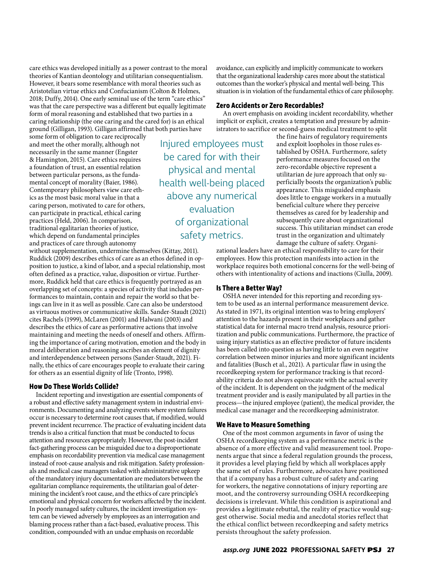care ethics was developed initially as a power contrast to the moral theories of Kantian deontology and utilitarian consequentialism. However, it bears some resemblance with moral theories such as Aristotelian virtue ethics and Confucianism (Colton & Holmes, 2018; Duffy, 2014). One early seminal use of the term "care ethics" was that the care perspective was a different but equally legitimate form of moral reasoning and established that two parties in a caring relationship (the one caring and the cared for) is an ethical ground (Gilligan, 1993). Gilligan affirmed that both parties have

some form of obligation to care reciprocally and meet the other morally, although not necessarily in the same manner (Engster & Hamington, 2015). Care ethics requires a foundation of trust, an essential relation between particular persons, as the fundamental concept of morality (Baier, 1986). Contemporary philosophers view care ethics as the most basic moral value in that a caring person, motivated to care for others, can participate in practical, ethical caring practices (Held, 2006). In comparison, traditional egalitarian theories of justice, which depend on fundamental principles and practices of care through autonomy

without supplementation, undermine themselves (Kittay, 2011). Ruddick (2009) describes ethics of care as an ethos defined in opposition to justice, a kind of labor, and a special relationship, most often defined as a practice, value, disposition or virtue. Furthermore, Ruddick held that care ethics is frequently portrayed as an overlapping set of concepts: a species of activity that includes performances to maintain, contain and repair the world so that beings can live in it as well as possible. Care can also be understood as virtuous motives or communicative skills. Sander-Staudt (2021) cites Rachels (1999), McLaren (2001) and Halwani (2003) and describes the ethics of care as performative actions that involve maintaining and meeting the needs of oneself and others. Affirming the importance of caring motivation, emotion and the body in moral deliberation and reasoning ascribes an element of dignity and interdependence between persons (Sander-Staudt, 2021). Finally, the ethics of care encourages people to evaluate their caring for others as an essential dignity of life (Tronto, 1998).

# **How Do These Worlds Collide?**

Incident reporting and investigation are essential components of a robust and effective safety management system in industrial environments. Documenting and analyzing events where system failures occur is necessary to determine root causes that, if modified, would prevent incident recurrence. The practice of evaluating incident data trends is also a critical function that must be conducted to focus attention and resources appropriately. However, the post-incident fact-gathering process can be misguided due to a disproportionate emphasis on recordability prevention via medical case management instead of root-cause analysis and risk mitigation. Safety professionals and medical case managers tasked with administrative upkeep of the mandatory injury documentation are mediators between the egalitarian compliance requirements, the utilitarian goal of determining the incident's root cause, and the ethics of care principle's emotional and physical concern for workers affected by the incident. In poorly managed safety cultures, the incident investigation system can be viewed adversely by employees as an interrogation and blaming process rather than a fact-based, evaluative process. This condition, compounded with an undue emphasis on recordable

avoidance, can explicitly and implicitly communicate to workers that the organizational leadership cares more about the statistical outcomes than the worker's physical and mental well-being. This situation is in violation of the fundamental ethics of care philosophy.

#### **Zero Accidents or Zero Recordables?**

An overt emphasis on avoiding incident recordability, whether implicit or explicit, creates a temptation and pressure by administrators to sacrifice or second-guess medical treatment to split

Injured employees must be cared for with their physical and mental health well-being placed above any numerical evaluation of organizational safety metrics.

the fine hairs of regulatory requirements and exploit loopholes in those rules established by OSHA. Furthermore, safety performance measures focused on the zero-recordable objective represent a utilitarian de jure approach that only superficially boosts the organization's public appearance. This misguided emphasis does little to engage workers in a mutually beneficial culture where they perceive themselves as cared for by leadership and subsequently care about organizational success. This utilitarian mindset can erode trust in the organization and ultimately damage the culture of safety. Organi-

zational leaders have an ethical responsibility to care for their employees. How this protection manifests into action in the workplace requires both emotional concerns for the well-being of others with intentionality of actions and inactions (Ciulla, 2009).

#### **Is There a Better Way?**

OSHA never intended for this reporting and recording system to be used as an internal performance measurement device. As stated in 1971, its original intention was to bring employers' attention to the hazards present in their workplaces and gather statistical data for internal macro trend analysis, resource prioritization and public communications. Furthermore, the practice of using injury statistics as an effective predictor of future incidents has been called into question as having little to an even negative correlation between minor injuries and more significant incidents and fatalities (Busch et al., 2021). A particular flaw in using the recordkeeping system for performance tracking is that recordability criteria do not always equivocate with the actual severity of the incident. It is dependent on the judgment of the medical treatment provider and is easily manipulated by all parties in the process—the injured employee (patient), the medical provider, the medical case manager and the recordkeeping administrator.

#### **We Have to Measure Something**

One of the most common arguments in favor of using the OSHA recordkeeping system as a performance metric is the absence of a more effective and valid measurement tool. Proponents argue that since a federal regulation grounds the process, it provides a level playing field by which all workplaces apply the same set of rules. Furthermore, advocates have positioned that if a company has a robust culture of safety and caring for workers, the negative connotations of injury reporting are moot, and the controversy surrounding OSHA recordkeeping decisions is irrelevant. While this condition is aspirational and provides a legitimate rebuttal, the reality of practice would suggest otherwise. Social media and anecdotal stories reflect that the ethical conflict between recordkeeping and safety metrics persists throughout the safety profession.